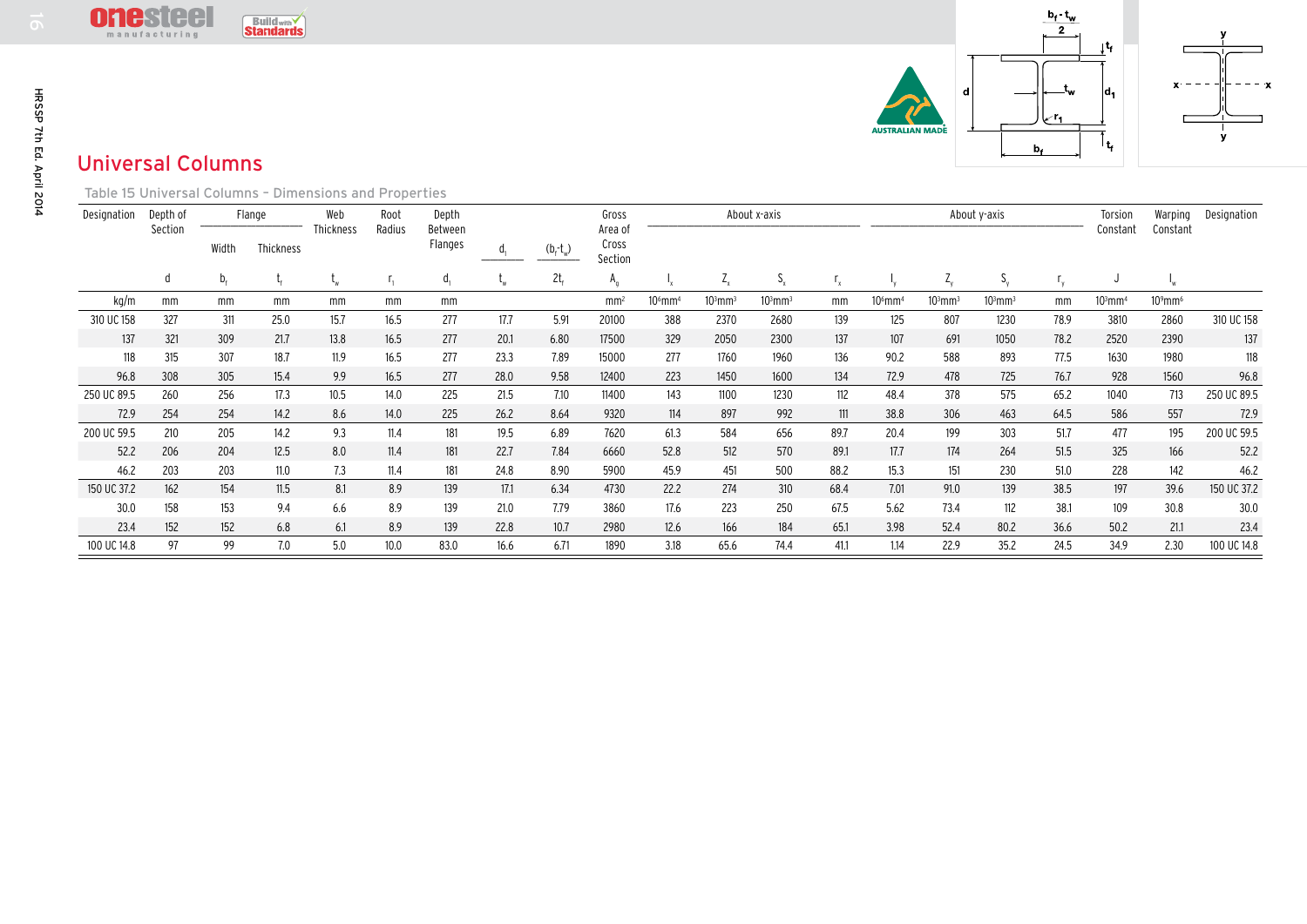

## Universal Columns

| HRSSP 7th Ed. April 2014 | <u>Uilusluu</u><br>$\frac{D_f - I_W}{2}$<br><b>Buildwith</b><br>manufacturing<br>յել<br>ι.,<br>d,<br>d<br><b>WSTRALIAN MADE</b><br>۱t,<br>$b_{\ast}$<br><b>Universal Columns</b> |                     |             |                     |                  |                |                             |                |                 |                                      |                       |              |              |      |                       | v                     |              |      |                       |                        |             |
|--------------------------|----------------------------------------------------------------------------------------------------------------------------------------------------------------------------------|---------------------|-------------|---------------------|------------------|----------------|-----------------------------|----------------|-----------------|--------------------------------------|-----------------------|--------------|--------------|------|-----------------------|-----------------------|--------------|------|-----------------------|------------------------|-------------|
|                          | Table 15 Universal Columns - Dimensions and Properties<br>About x-axis                                                                                                           |                     |             |                     |                  |                |                             |                |                 |                                      |                       |              |              |      |                       |                       |              |      |                       |                        |             |
|                          | Designation                                                                                                                                                                      | Depth of<br>Section | Width       | Flange<br>Thickness | Web<br>Thickness | Root<br>Radius | Depth<br>Between<br>Flanges | d <sub>1</sub> | $(b_f-t_w)$     | Gross<br>Area of<br>Cross<br>Section |                       |              |              |      |                       |                       | About y-axis |      | Torsion<br>Constant   | Warping<br>Constant    | Designation |
|                          |                                                                                                                                                                                  | d                   | $b_{\rm f}$ |                     | $L_{W}$          |                | $d_{1}$                     |                | 2t <sub>f</sub> | $A_{q}$                              |                       | $Z_{\rm x}$  | $S_{x}$      |      |                       | Z                     | $S_{v}$      |      | J                     |                        |             |
|                          | kg/m                                                                                                                                                                             | mm                  | mm          | mm                  | mm               | mm             | mm                          |                |                 | mm <sup>2</sup>                      | $106$ mm <sup>4</sup> | $103$ mm $3$ | $103$ mm $3$ | mm   | $106$ mm <sup>4</sup> | $103$ mm <sup>3</sup> | $103$ mm $3$ | mm   | $103$ mm <sup>4</sup> | $10^9$ mm <sup>6</sup> |             |
|                          | 310 UC 158                                                                                                                                                                       | 327                 | 311         | 25.0                | 15.7             | 16.5           | 277                         | 17.7           | 5.91            | 20100                                | 388                   | 2370         | 2680         | 139  | 125                   | 807                   | 1230         | 78.9 | 3810                  | 2860                   | 310 UC 158  |
|                          | 137                                                                                                                                                                              | 321                 | 309         | 21.7                | 13.8             | 16.5           | 277                         | 20.1           | 6.80            | 17500                                | 329                   | 2050         | 2300         | 137  | 107                   | 691                   | 1050         | 78.2 | 2520                  | 2390                   | 137         |
|                          | 118                                                                                                                                                                              | 315                 | 307         | 18.7                | 11.9             | 16.5           | 277                         | 23.3           | 7.89            | 15000                                | 277                   | 1760         | 1960         | 136  | 90.2                  | 588                   | 893          | 77.5 | 1630                  | 1980                   | 118         |
|                          | 96.8                                                                                                                                                                             | 308                 | 305         | 15.4                | 9.9              | 16.5           | 277                         | 28.0           | 9.58            | 12400                                | 223                   | 1450         | 1600         | 134  | 72.9                  | 478                   | 725          | 76.7 | 928                   | 1560                   | 96.8        |
|                          | 250 UC 89.5                                                                                                                                                                      | 260                 | 256         | 17.3                | 10.5             | 14.0           | 225                         | 21.5           | 7.10            | 11400                                | 143                   | 1100         | 1230         | 112  | 48.4                  | 378                   | 575          | 65.2 | 1040                  | 713                    | 250 UC 89.5 |
|                          | 72.9                                                                                                                                                                             | 254                 | 254         | 14.2                | 8.6              | 14.0           | 225                         | 26.2           | 8.64            | 9320                                 | 114                   | 897          | 992          | 111  | 38.8                  | 306                   | 463          | 64.5 | 586                   | 557                    | 72.9        |
|                          | 200 UC 59.5                                                                                                                                                                      | 210                 | 205         | 14.2                | 9.3              | 11.4           | 181                         | 19.5           | 6.89            | 7620                                 | 61.3                  | 584          | 656          | 89.7 | 20.4                  | 199                   | 303          | 51.7 | 477                   | 195                    | 200 UC 59.5 |
|                          | 52.2                                                                                                                                                                             | 206                 | 204         | 12.5                | 8.0              | 11.4           | 181                         | 22.7           | 7.84            | 6660                                 | 52.8                  | 512          | 570          | 89.1 | 17.7                  | 174                   | 264          | 51.5 | 325                   | 166                    | 52.2        |
|                          | 46.2                                                                                                                                                                             | 203                 | 203         | 11.0                | 7.3              | 11.4           | 181                         | 24.8           | 8.90            | 5900                                 | 45.9                  | 451          | 500          | 88.2 | 15.3                  | 151                   | 230          | 51.0 | 228                   | 142                    | 46.2        |
|                          | 150 UC 37.2                                                                                                                                                                      | 162                 | 154         | 11.5                | 8.1              | 8.9            | 139                         | 17.1           | 6.34            | 4730                                 | 22.2                  | 274          | 310          | 68.4 | 7.01                  | 91.0                  | 139          | 38.5 | 197                   | 39.6                   | 150 UC 37.2 |
|                          | 30.0                                                                                                                                                                             | 158                 | 153         | 9.4                 | 6.6              | 8.9            | 139                         | 21.0           | 7.79            | 3860                                 | 17.6                  | 223          | 250          | 67.5 | 5.62                  | 73.4                  | 112          | 38.1 | 109                   | 30.8                   | 30.0        |
|                          | 23.4                                                                                                                                                                             | 152                 | 152         | 6.8                 | 6.1              | 8.9            | 139                         | 22.8           | 10.7            | 2980                                 | 12.6                  | 166          | 184          | 65.1 | 3.98                  | 52.4                  | 80.2         | 36.6 | 50.2                  | 21.1                   | 23.4        |
|                          | 100 UC 14.8                                                                                                                                                                      | 97                  | 99          | 7.0                 | 5.0              | 10.0           | 83.0                        | 16.6           | 6.71            | 1890                                 | 3.18                  | 65.6         | 74.4         | 41.1 | 1.14                  | 22.9                  | 35.2         | 24.5 | 34.9                  | 2.30                   | 100 UC 14.8 |